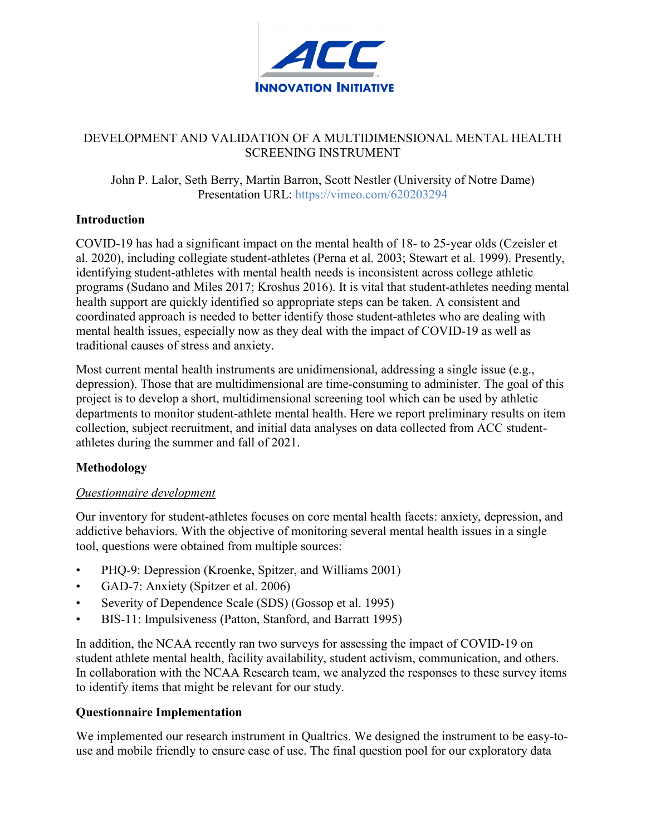

#### DEVELOPMENT AND VALIDATION OF A MULTIDIMENSIONAL MENTAL HEALTH SCREENING INSTRUMENT

John P. Lalor, Seth Berry, Martin Barron, Scott Nestler (University of Notre Dame) Presentation URL:<https://vimeo.com/620203294>

# **Introduction**

COVID-19 has had a significant impact on the mental health of 18- to 25-year olds (Czeisler et al. 2020), including collegiate student-athletes (Perna et al. 2003; Stewart et al. 1999). Presently, identifying student-athletes with mental health needs is inconsistent across college athletic programs (Sudano and Miles 2017; Kroshus 2016). It is vital that student-athletes needing mental health support are quickly identified so appropriate steps can be taken. A consistent and coordinated approach is needed to better identify those student-athletes who are dealing with mental health issues, especially now as they deal with the impact of COVID-19 as well as traditional causes of stress and anxiety.

Most current mental health instruments are unidimensional, addressing a single issue (e.g., depression). Those that are multidimensional are time-consuming to administer. The goal of this project is to develop a short, multidimensional screening tool which can be used by athletic departments to monitor student-athlete mental health. Here we report preliminary results on item collection, subject recruitment, and initial data analyses on data collected from ACC studentathletes during the summer and fall of 2021.

# **Methodology**

# *Questionnaire development*

Our inventory for student-athletes focuses on core mental health facets: anxiety, depression, and addictive behaviors. With the objective of monitoring several mental health issues in a single tool, questions were obtained from multiple sources:

- PHQ-9: Depression (Kroenke, Spitzer, and Williams 2001)
- GAD-7: Anxiety (Spitzer et al. 2006)
- Severity of Dependence Scale (SDS) (Gossop et al. 1995)
- BIS-11: Impulsiveness (Patton, Stanford, and Barratt 1995)

In addition, the NCAA recently ran two surveys for assessing the impact of COVID-19 on student athlete mental health, facility availability, student activism, communication, and others. In collaboration with the NCAA Research team, we analyzed the responses to these survey items to identify items that might be relevant for our study.

# **Questionnaire Implementation**

We implemented our research instrument in Qualtrics. We designed the instrument to be easy-touse and mobile friendly to ensure ease of use. The final question pool for our exploratory data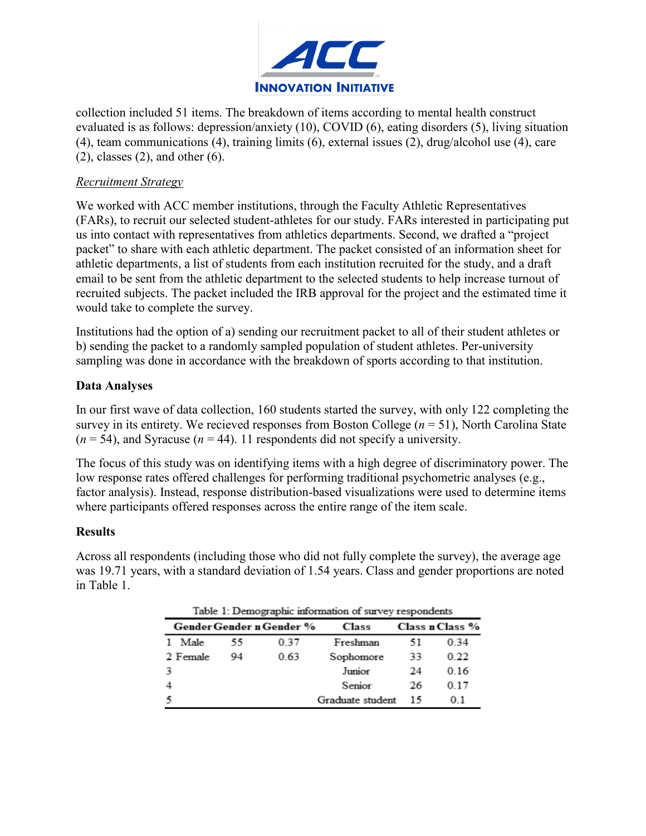

collection included 51 items. The breakdown of items according to mental health construct evaluated is as follows: depression/anxiety (10), COVID (6), eating disorders (5), living situation (4), team communications (4), training limits (6), external issues (2), drug/alcohol use (4), care  $(2)$ , classes  $(2)$ , and other  $(6)$ .

#### *Recruitment Strategy*

We worked with ACC member institutions, through the Faculty Athletic Representatives (FARs), to recruit our selected student-athletes for our study. FARs interested in participating put us into contact with representatives from athletics departments. Second, we drafted a "project packet" to share with each athletic department. The packet consisted of an information sheet for athletic departments, a list of students from each institution recruited for the study, and a draft email to be sent from the athletic department to the selected students to help increase turnout of recruited subjects. The packet included the IRB approval for the project and the estimated time it would take to complete the survey.

Institutions had the option of a) sending our recruitment packet to all of their student athletes or b) sending the packet to a randomly sampled population of student athletes. Per-university sampling was done in accordance with the breakdown of sports according to that institution.

# **Data Analyses**

In our first wave of data collection, 160 students started the survey, with only 122 completing the survey in its entirety. We recieved responses from Boston College (*n* = 51), North Carolina State  $(n = 54)$ , and Syracuse  $(n = 44)$ . 11 respondents did not specify a university.

The focus of this study was on identifying items with a high degree of discriminatory power. The low response rates offered challenges for performing traditional psychometric analyses (e.g., factor analysis). Instead, response distribution-based visualizations were used to determine items where participants offered responses across the entire range of the item scale.

#### **Results**

Across all respondents (including those who did not fully complete the survey), the average age was 19.71 years, with a standard deviation of 1.54 years. Class and gender proportions are noted in Table 1.

| Table 1: Demographic information of survey respondents |    |      |                  |    |                 |  |
|--------------------------------------------------------|----|------|------------------|----|-----------------|--|
| Gender Gender n Gender %                               |    |      | <b>Class</b>     |    | Class n Class % |  |
| 1 Male                                                 | 55 | 0.37 | Freshman         | 51 | 0.34            |  |
| 2 Female                                               | 94 | 0.63 | Sophomore        | 33 | 0.22            |  |
|                                                        |    |      | Junior           | 24 | 0.16            |  |
|                                                        |    |      | Senior           | 26 | 0.17            |  |
|                                                        |    |      | Graduate student | 15 | 0 <sub>1</sub>  |  |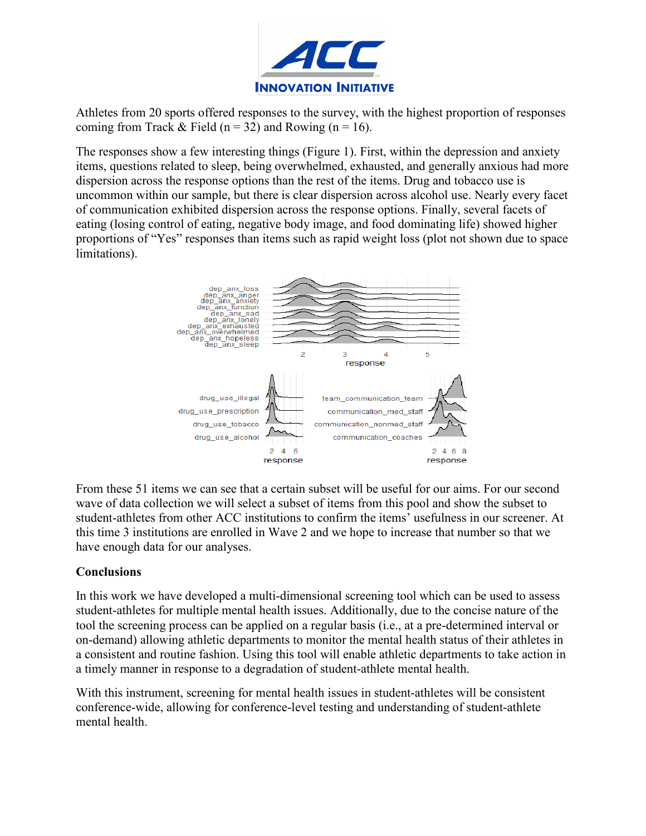

Athletes from 20 sports offered responses to the survey, with the highest proportion of responses coming from Track & Field ( $n = 32$ ) and Rowing ( $n = 16$ ).

The responses show a few interesting things (Figure 1). First, within the depression and anxiety items, questions related to sleep, being overwhelmed, exhausted, and generally anxious had more dispersion across the response options than the rest of the items. Drug and tobacco use is uncommon within our sample, but there is clear dispersion across alcohol use. Nearly every facet of communication exhibited dispersion across the response options. Finally, several facets of eating (losing control of eating, negative body image, and food dominating life) showed higher proportions of "Yes" responses than items such as rapid weight loss (plot not shown due to space limitations).



From these 51 items we can see that a certain subset will be useful for our aims. For our second wave of data collection we will select a subset of items from this pool and show the subset to student-athletes from other ACC institutions to confirm the items' usefulness in our screener. At this time 3 institutions are enrolled in Wave 2 and we hope to increase that number so that we have enough data for our analyses.

# **Conclusions**

In this work we have developed a multi-dimensional screening tool which can be used to assess student-athletes for multiple mental health issues. Additionally, due to the concise nature of the tool the screening process can be applied on a regular basis (i.e., at a pre-determined interval or on-demand) allowing athletic departments to monitor the mental health status of their athletes in a consistent and routine fashion. Using this tool will enable athletic departments to take action in a timely manner in response to a degradation of student-athlete mental health.

With this instrument, screening for mental health issues in student-athletes will be consistent conference-wide, allowing for conference-level testing and understanding of student-athlete mental health.